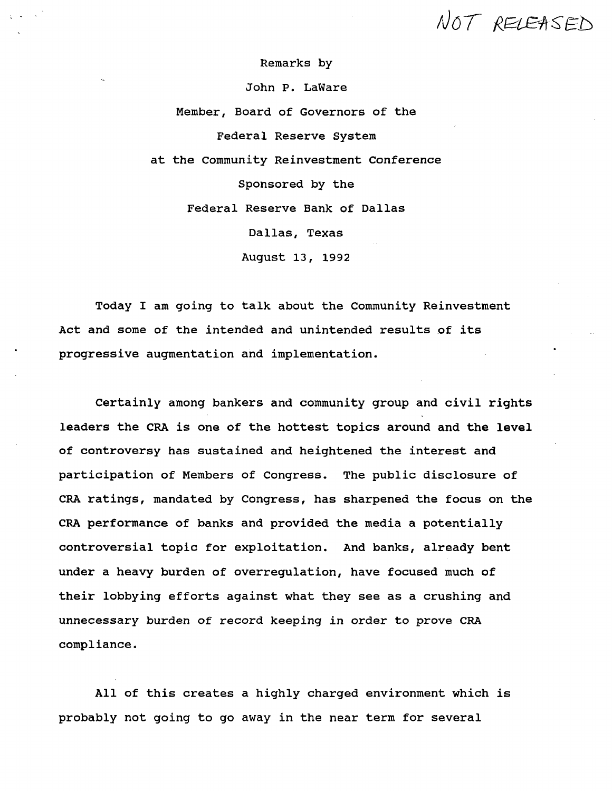NOT RELEASED

**Remarks by**

**John P. LaWare**

**Member, Board of Governors of the Federal Reserve System at the Community Reinvestment Conference Sponsored by the Federal Reserve Bank of Dallas Dallas, Texas August 13, 1992**

**Today I am going to talk about the Community Reinvestment Act and some of the intended and unintended results of its progressive augmentation and implementation.**

**Certainly among bankers and community group and civil rights leaders the CRA is one of the hottest topics around and the level of controversy has sustained and heightened the interest and participation of Members of Congress. The public disclosure of CRA ratings, mandated by Congress, has sharpened the focus on the CRA performance of banks and provided the media a potentially controversial topic for exploitation. And banks, already bent under a heavy burden of overregulation, have focused much of their lobbying efforts against what they see as a crushing and unnecessary burden of record keeping in order to prove CRA compliance.**

**All of this creates a highly charged environment which is probably not going to go away in the near term for several**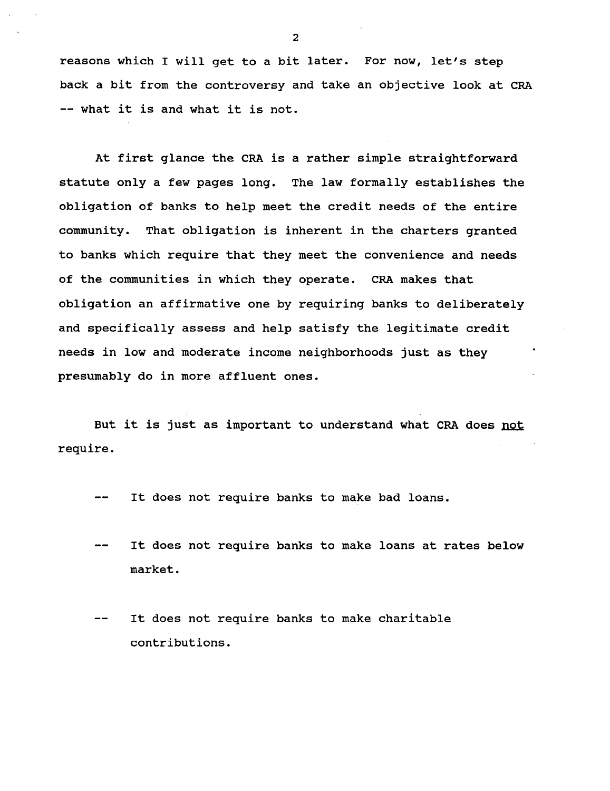**reasons which I will get to a bit later. For now, let's step back a bit from the controversy and take an objective look at CRA — what it is and what it is not.**

**At first glance the CRA is a rather simple straightforward statute only a few pages long. The law formally establishes the obligation of banks to help meet the credit needs of the entire community. That obligation is inherent in the charters granted to banks which require that they meet the convenience and needs of the communities in which they operate. CRA makes that obligation an affirmative one by requiring banks to deliberately and specifically assess and help satisfy the legitimate credit needs in low and moderate income neighborhoods just as they presumably do in more affluent ones.**

**But it is just as important to understand what CRA does not require.**

- **It does not require banks to make bad loans.**
- **It does not require banks to make loans at rates below**  $\frac{1}{2}$ **market.**
- **It does not require banks to make charitable contributions.**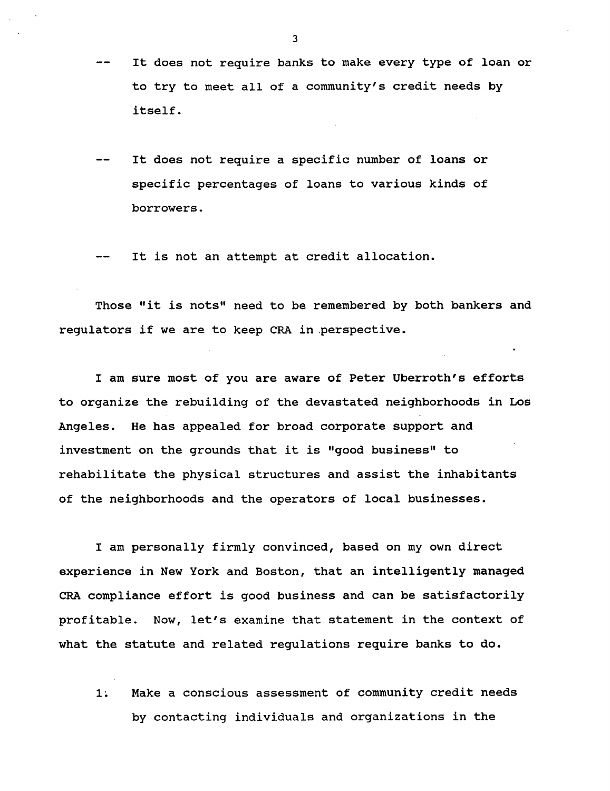- **It does not require banks to make every type of loan or**  $-$ **to try to meet all of a community's credit needs by itself.**
- **It does not require a specific number of loans or specific percentages of loans to various kinds of borrowers.**

**It is not an attempt at credit allocation.**

**Those "it is nots" need to be remembered by both bankers and regulators if we are to keep CRA in perspective.**

**I am sure most of you are aware of Peter Uberroth's efforts to organize the rebuilding of the devastated neighborhoods in Los Angeles. He has appealed for broad corporate support and investment on the grounds that it is "good business" to rehabilitate the physical structures and assist the inhabitants of the neighborhoods and the operators of local businesses.**

**I am personally firmly convinced, based on my own direct experience in New York and Boston, that an intelligently managed CRA compliance effort is good business and can be satisfactorily profitable. Now, let's examine that statement in the context of what the statute and related regulations require banks to do.**

**1; Make a conscious assessment of community credit needs by contacting individuals and organizations in the**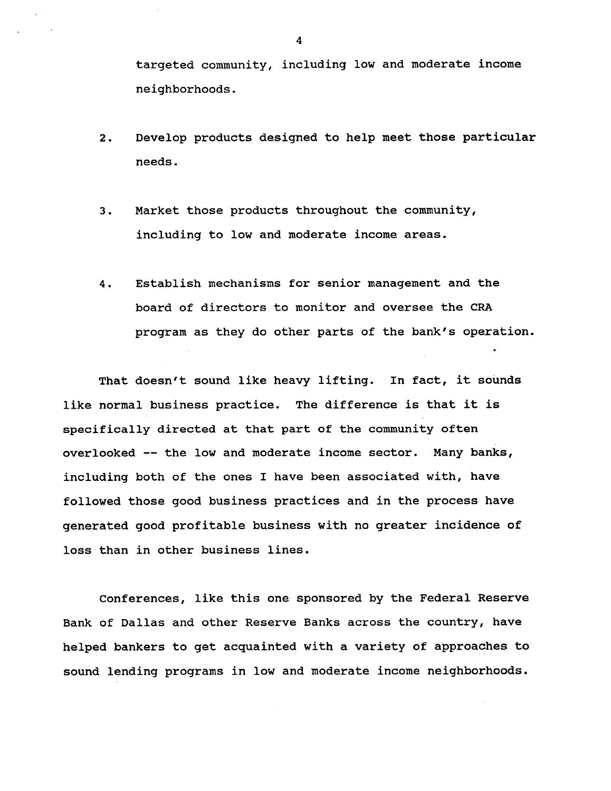**targeted community, including low and moderate income neighborhoods.**

- **2. Develop products designed to help meet those particular needs.**
- **3. Market those products throughout the community, including to low and moderate income areas.**
- **4. Establish mechanisms for senior management and the board of directors to monitor and oversee the CRA program as they do other parts of the bank's operation.**

**That doesn't sound like heavy lifting. In fact, it sounds like normal business practice. The difference is that it is specifically directed at that part of the community often overlooked — the low and moderate income sector. Many banks, including both of the ones I have been associated with, have followed those good business practices and in the process have generated good profitable business with no greater incidence of loss than in other business lines.**

**Conferences, like this one sponsored by the Federal Reserve Bank of Dallas and other Reserve Banks across the country, have helped bankers to get acquainted with a variety of approaches to sound lending programs in low and moderate income neighborhoods.**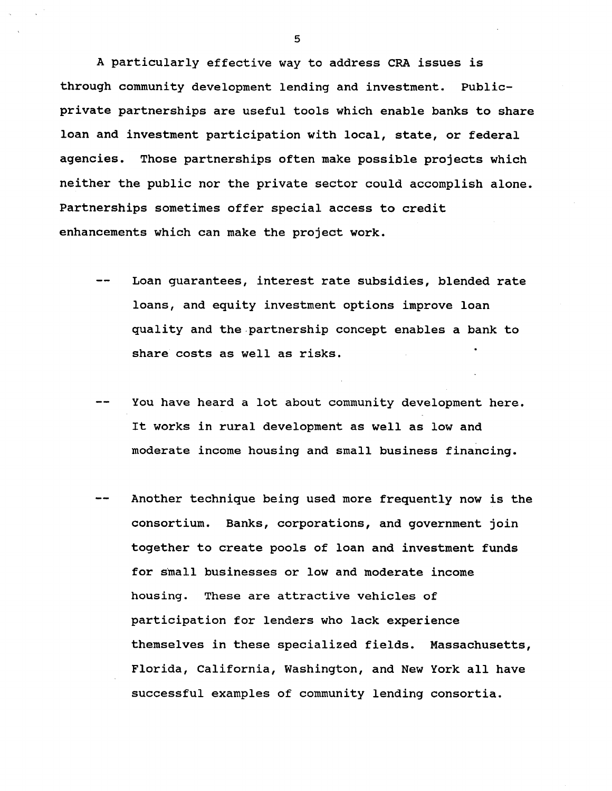**A particularly effective way to address CRA issues is through community development lending and investment. Publicprivate partnerships are useful tools which enable banks to share loan and investment participation with local, state, or federal agencies. Those partnerships often make possible projects which neither the public nor the private sector could accomplish alone. Partnerships sometimes offer special access to credit enhancements which can make the project work.**

- **Loan guarantees, interest rate subsidies, blended rate loans, and equity investment options improve loan quality and the partnership concept enables a bank to share costs as well as risks.**
- **— You have heard a lot about community development here. It works in rural development as well as low and moderate income housing and small business financing.**
- **Another technique being used more frequently now is the consortium. Banks, corporations, and government join together to create pools of loan and investment funds for small businesses or low and moderate income housing. These are attractive vehicles of participation for lenders who lack experience themselves in these specialized fields. Massachusetts, Florida, California, Washington, and New York all have successful examples of community lending consortia.**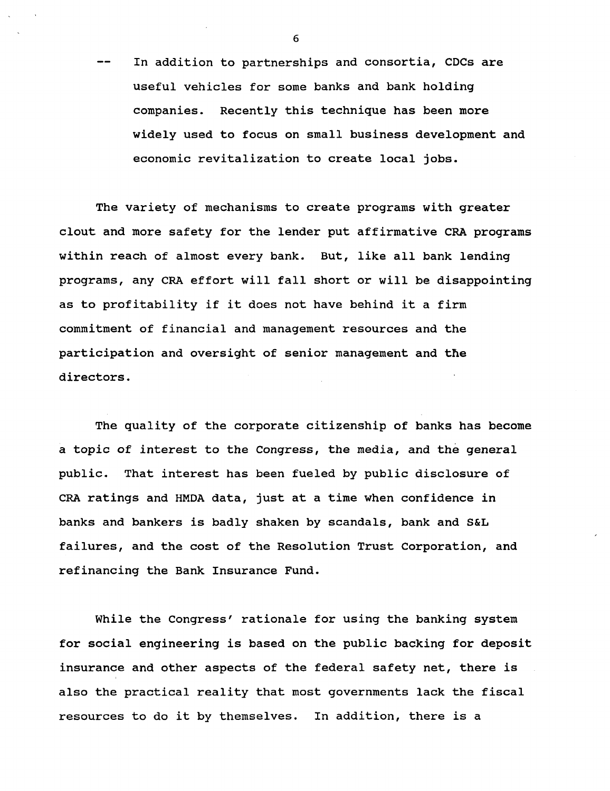**— In addition to partnerships and consortia, CDCs are useful vehicles for some banks and bank holding companies. Recently this technique has been more widely used to focus on small business development and economic revitalization to create local jobs.**

**The variety of mechanisms to create programs with greater clout and more safety for the lender put affirmative CRA programs within reach of almost every bank. But, like all bank lending programs, any CRA effort will fall short or will be disappointing as to profitability if it does not have behind it a firm commitment of financial and management resources and the participation and oversight of senior management and the directors.**

**The quality of the corporate citizenship of banks has become a topic of interest to the Congress, the media, and the general public. That interest has been fueled by public disclosure of CRA ratings and HMDA data, just at a time when confidence in banks and bankers is badly shaken by scandals, bank and S&L failures, and the cost of the Resolution Trust Corporation, and refinancing the Bank Insurance Fund.**

**While the Congress' rationale for using the banking system for social engineering is based on the public backing for deposit insurance and other aspects of the federal safety net, there is also the practical reality that most governments lack the fiscal resources to do it by themselves. In addition, there is a**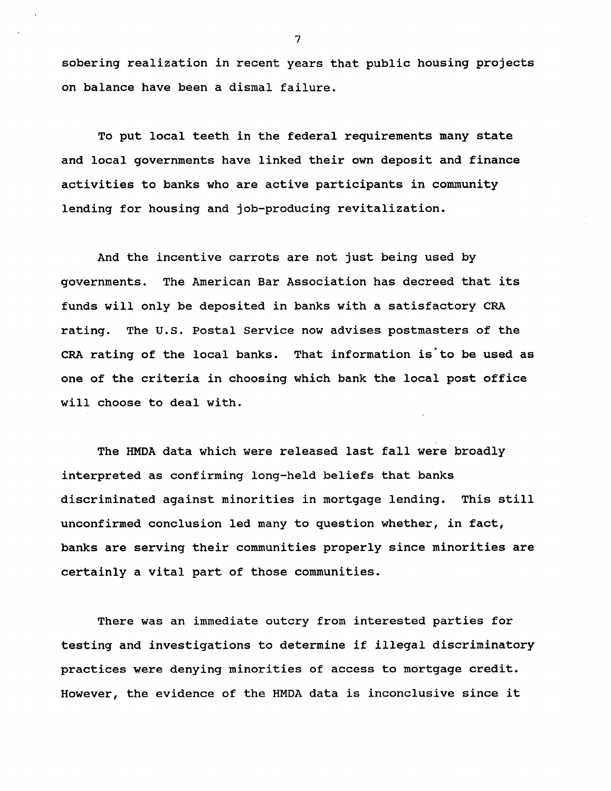**sobering realization in recent years that public housing projects on balance have been a dismal failure.**

**To put local teeth in the federal requirements many state and local governments have linked their own deposit and finance activities to banks who are active participants in community lending for housing and job-producing revitalization.**

**And the incentive carrots are not just being used by governments. The American Bar Association has decreed that its funds will only be deposited in banks with a satisfactory CRA rating. The U.S. Postal Service now advises postmasters of the CRA rating of the local banks. That information is'to be used as one of the criteria in choosing which bank the local post office will choose to deal with.**

**The HMDA data which were released last fall were broadly interpreted as confirming long-held beliefs that banks discriminated against minorities in mortgage lending. This still unconfirmed conclusion led many to question whether, in fact, banks are serving their communities properly since minorities are certainly a vital part of those communities.**

**There was an immediate outcry from interested parties for testing and investigations to determine if illegal discriminatory practices were denying minorities of access to mortgage credit. However, the evidence of the HMDA data is inconclusive since it**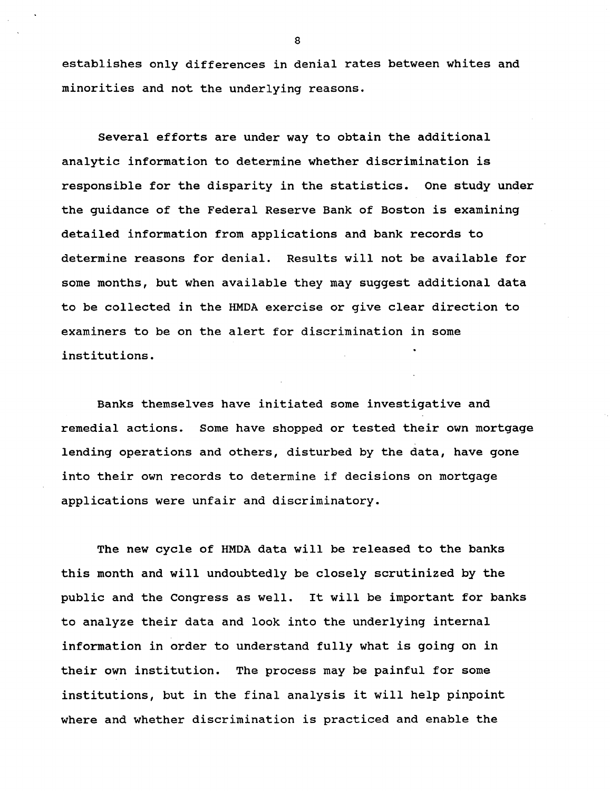**establishes only differences in denial rates between whites and minorities and not the underlying reasons.**

**Several efforts are under way to obtain the additional analytic information to determine whether discrimination is responsible for the disparity in the statistics. One study under the guidance of the Federal Reserve Bank of Boston is examining detailed information from applications and bank records to determine reasons for denial. Results will not be available for some months, but when available they may suggest additional data to be collected in the HMDA exercise or give clear direction to examiners to be on the alert for discrimination in some institutions.**

**Banks themselves have initiated some investigative and remedial actions. Some have shopped or tested their own mortgage lending operations and others, disturbed by the data, have gone into their own records to determine if decisions on mortgage applications were unfair and discriminatory.**

**The new cycle of HMDA data will be released to the banks this month and will undoubtedly be closely scrutinized by the public and the Congress as well. It will be important for banks to analyze their data and look into the underlying internal information in order to understand fully what is going on in their own institution. The process may be painful for some institutions, but in the final analysis it will help pinpoint where and whether discrimination is practiced and enable the**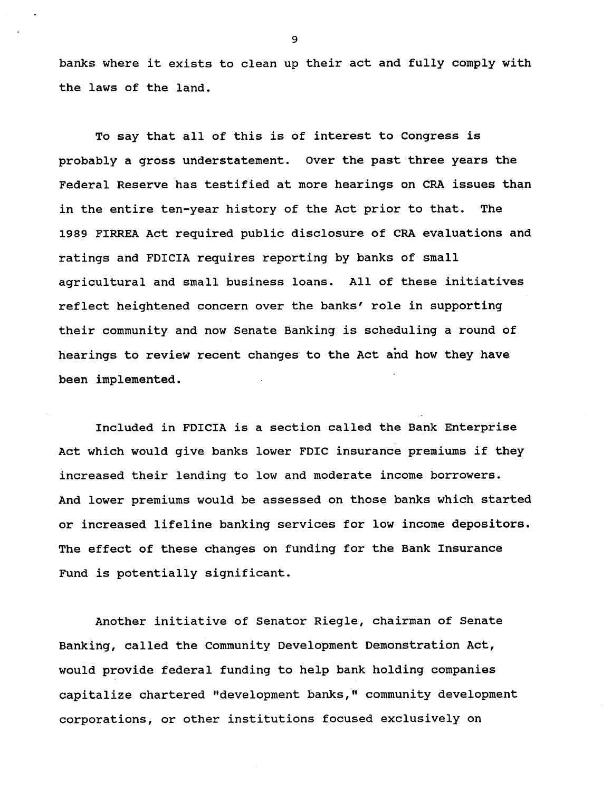**banks where it exists to clean up their act and fully comply with the laws of the land.**

**To say that all of this is of interest to Congress is probably a gross understatement. Over the past three years the Federal Reserve has testified at more hearings on CRA issues than in the entire ten-year history of the Act prior to that. The 1989 FIRREA Act required public disclosure of CRA evaluations and ratings and FDICIA requires reporting by banks of small agricultural and small business loans. All of these initiatives reflect heightened concern over the banks' role in supporting their community and now Senate Banking is scheduling a round of hearings to review recent changes to the Act and how they have been implemented.**

**Included in FDICIA is a section called the Bank Enterprise Act which would give banks lower FDIC insurance premiums if they increased their lending to low and moderate income borrowers. And lower premiums would be assessed on those banks which started or increased lifeline banking services for low income depositors. The effect of these changes on funding for the Bank Insurance Fund is potentially significant.**

**Another initiative of Senator Riegle, chairman of Senate Banking, called the Community Development Demonstration Act, would provide federal funding to help bank holding companies capitalize chartered "development banks," community development corporations, or other institutions focused exclusively on**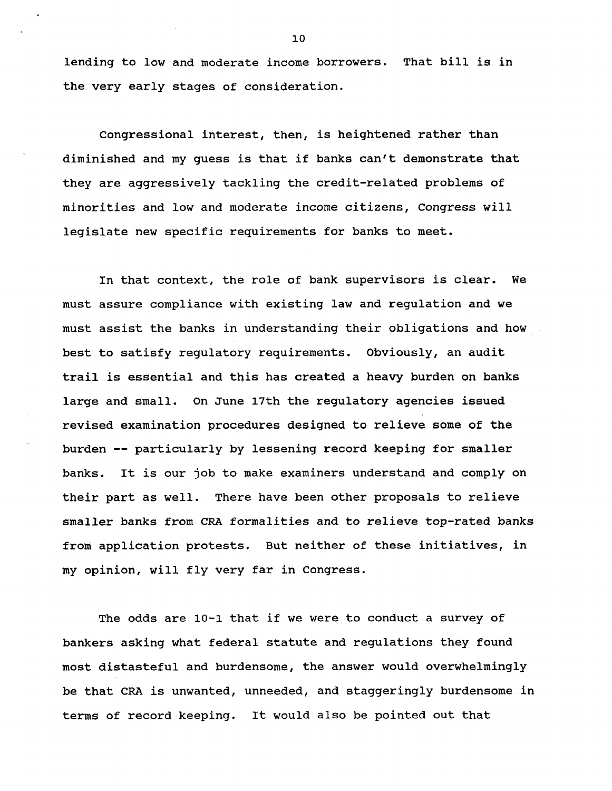**lending to low and moderate income borrowers. That bill is in the very early stages of consideration.**

**Congressional interest, then, is heightened rather than diminished and my guess is that if banks can't demonstrate that they are aggressively tackling the credit-related problems of minorities and low and moderate income citizens, Congress will legislate new specific requirements for banks to meet.**

**In that context, the role of bank supervisors is clear. We must assure compliance with existing law and regulation and we must assist the banks in understanding their obligations and how best to satisfy regulatory requirements. Obviously, an audit trail is essential and this has created a heavy burden on banks large and small. On June 17th the regulatory agencies issued revised examination procedures designed to relieve some of the burden — particularly by lessening record keeping for smaller banks. It is our job to make examiners understand and comply on their part as well. There have been other proposals to relieve smaller banks from CRA formalities and to relieve top-rated banks from application protests. But neither of these initiatives, in my opinion, will fly very far in Congress.**

**The odds are 10-1 that if we were to conduct a survey of bankers asking what federal statute and regulations they found most distasteful and burdensome, the answer would overwhelmingly be that CRA is unwanted, unneeded, and staggeringly burdensome in terms of record keeping. It would also be pointed out that**